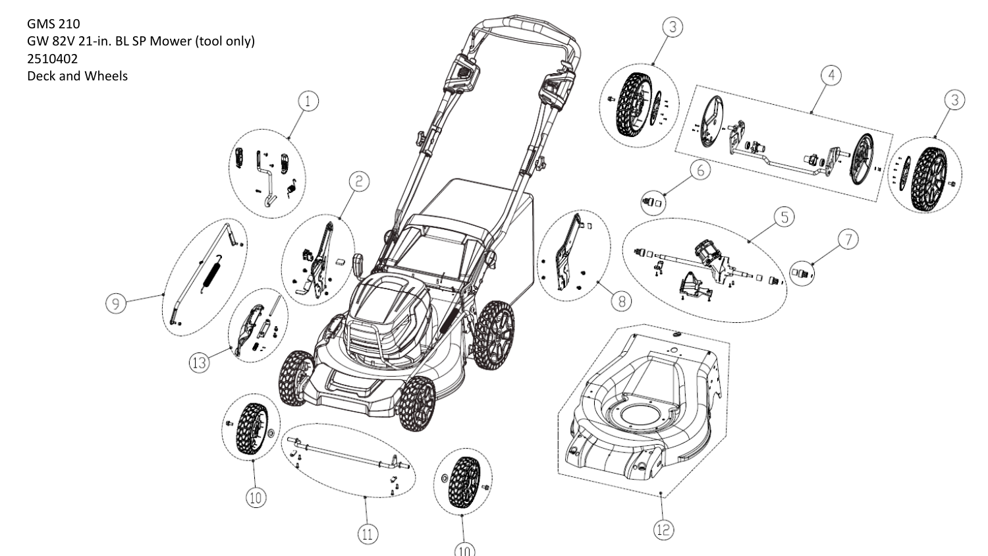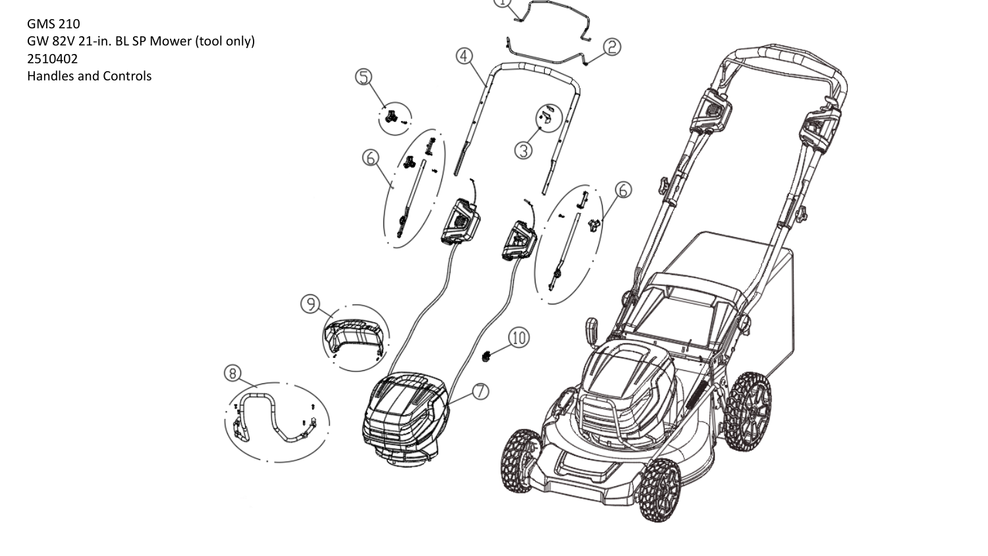**GMS 210** GW 82V 21-in. BL SP Mower (tool only) 2510402 Handles and Controls

ි

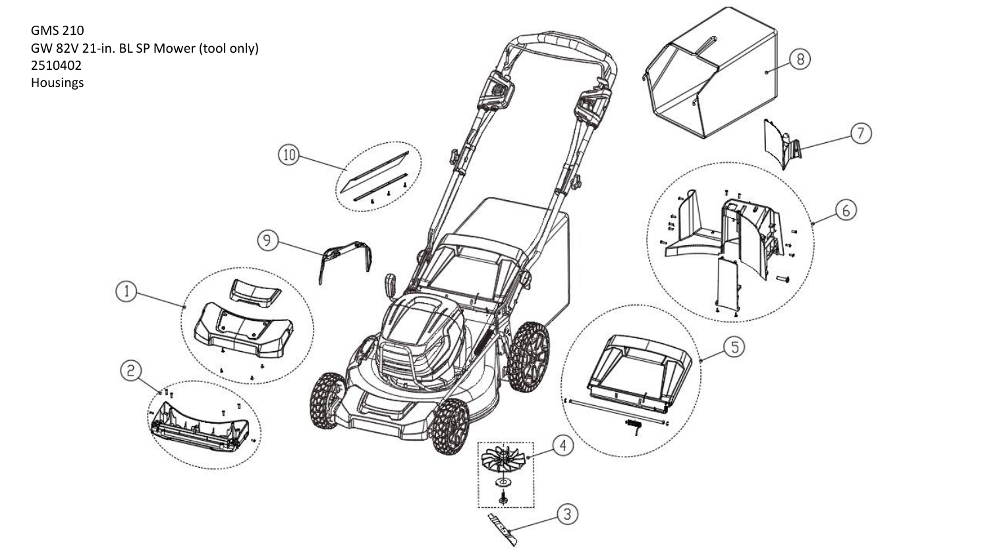